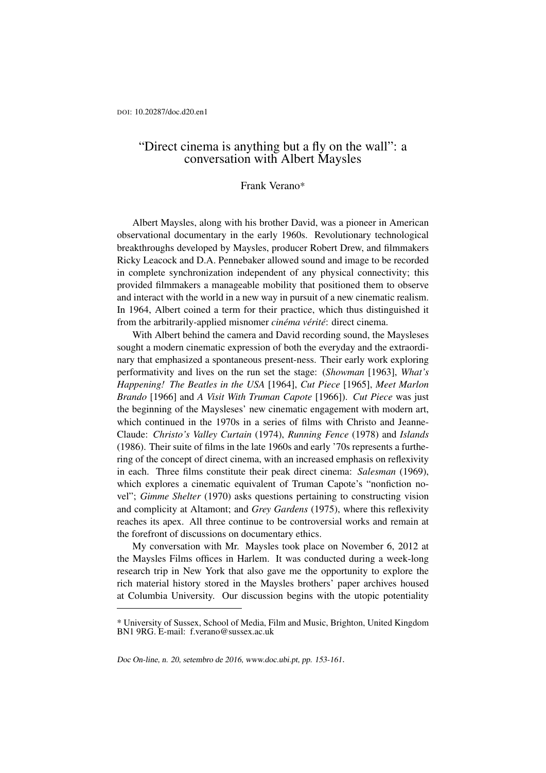## "Direct cinema is anything but a fly on the wall": a conversation with Albert Maysles

## Frank Verano\*

Albert Maysles, along with his brother David, was a pioneer in American observational documentary in the early 1960s. Revolutionary technological breakthroughs developed by Maysles, producer Robert Drew, and filmmakers Ricky Leacock and D.A. Pennebaker allowed sound and image to be recorded in complete synchronization independent of any physical connectivity; this provided filmmakers a manageable mobility that positioned them to observe and interact with the world in a new way in pursuit of a new cinematic realism. In 1964, Albert coined a term for their practice, which thus distinguished it from the arbitrarily-applied misnomer *cinéma vérité*: direct cinema.

With Albert behind the camera and David recording sound, the Maysleses sought a modern cinematic expression of both the everyday and the extraordinary that emphasized a spontaneous present-ness. Their early work exploring performativity and lives on the run set the stage: (*Showman* [1963], *What's Happening! The Beatles in the USA* [1964], *Cut Piece* [1965], *Meet Marlon Brando* [1966] and *A Visit With Truman Capote* [1966]). *Cut Piece* was just the beginning of the Maysleses' new cinematic engagement with modern art, which continued in the 1970s in a series of films with Christo and Jeanne-Claude: *Christo's Valley Curtain* (1974), *Running Fence* (1978) and *Islands* (1986). Their suite of films in the late 1960s and early '70s represents a furthering of the concept of direct cinema, with an increased emphasis on reflexivity in each. Three films constitute their peak direct cinema: *Salesman* (1969), which explores a cinematic equivalent of Truman Capote's "nonfiction novel"; *Gimme Shelter* (1970) asks questions pertaining to constructing vision and complicity at Altamont; and *Grey Gardens* (1975), where this reflexivity reaches its apex. All three continue to be controversial works and remain at the forefront of discussions on documentary ethics.

My conversation with Mr. Maysles took place on November 6, 2012 at the Maysles Films offices in Harlem. It was conducted during a week-long research trip in New York that also gave me the opportunity to explore the rich material history stored in the Maysles brothers' paper archives housed at Columbia University. Our discussion begins with the utopic potentiality

<sup>\*</sup> University of Sussex, School of Media, Film and Music, Brighton, United Kingdom BN1 9RG. E-mail: <f.verano@sussex.ac.uk>

Doc On-line, n. 20, setembro de 2016, [www.doc.ubi.pt,](http://www.doc.ubi.pt) pp. 153-161.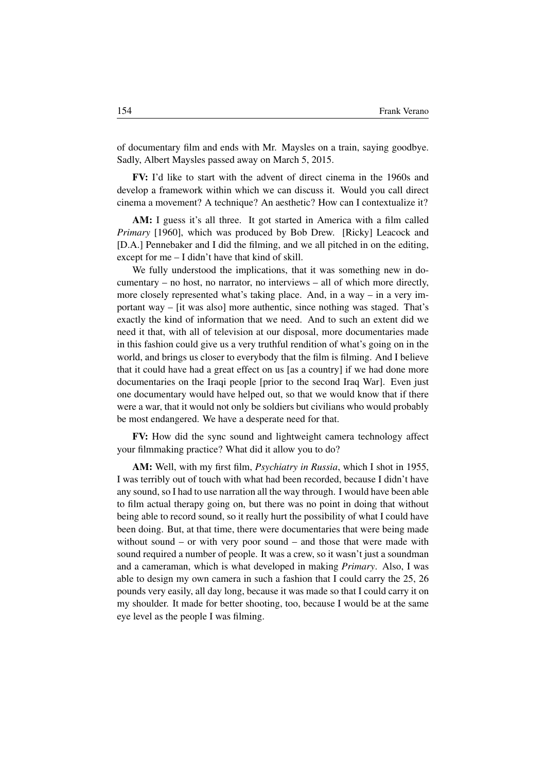of documentary film and ends with Mr. Maysles on a train, saying goodbye. Sadly, Albert Maysles passed away on March 5, 2015.

FV: I'd like to start with the advent of direct cinema in the 1960s and develop a framework within which we can discuss it. Would you call direct cinema a movement? A technique? An aesthetic? How can I contextualize it?

AM: I guess it's all three. It got started in America with a film called *Primary* [1960], which was produced by Bob Drew. [Ricky] Leacock and [D.A.] Pennebaker and I did the filming, and we all pitched in on the editing, except for me – I didn't have that kind of skill.

We fully understood the implications, that it was something new in documentary – no host, no narrator, no interviews – all of which more directly, more closely represented what's taking place. And, in a way – in a very important way – [it was also] more authentic, since nothing was staged. That's exactly the kind of information that we need. And to such an extent did we need it that, with all of television at our disposal, more documentaries made in this fashion could give us a very truthful rendition of what's going on in the world, and brings us closer to everybody that the film is filming. And I believe that it could have had a great effect on us [as a country] if we had done more documentaries on the Iraqi people [prior to the second Iraq War]. Even just one documentary would have helped out, so that we would know that if there were a war, that it would not only be soldiers but civilians who would probably be most endangered. We have a desperate need for that.

FV: How did the sync sound and lightweight camera technology affect your filmmaking practice? What did it allow you to do?

AM: Well, with my first film, *Psychiatry in Russia*, which I shot in 1955, I was terribly out of touch with what had been recorded, because I didn't have any sound, so I had to use narration all the way through. I would have been able to film actual therapy going on, but there was no point in doing that without being able to record sound, so it really hurt the possibility of what I could have been doing. But, at that time, there were documentaries that were being made without sound – or with very poor sound – and those that were made with sound required a number of people. It was a crew, so it wasn't just a soundman and a cameraman, which is what developed in making *Primary*. Also, I was able to design my own camera in such a fashion that I could carry the 25, 26 pounds very easily, all day long, because it was made so that I could carry it on my shoulder. It made for better shooting, too, because I would be at the same eye level as the people I was filming.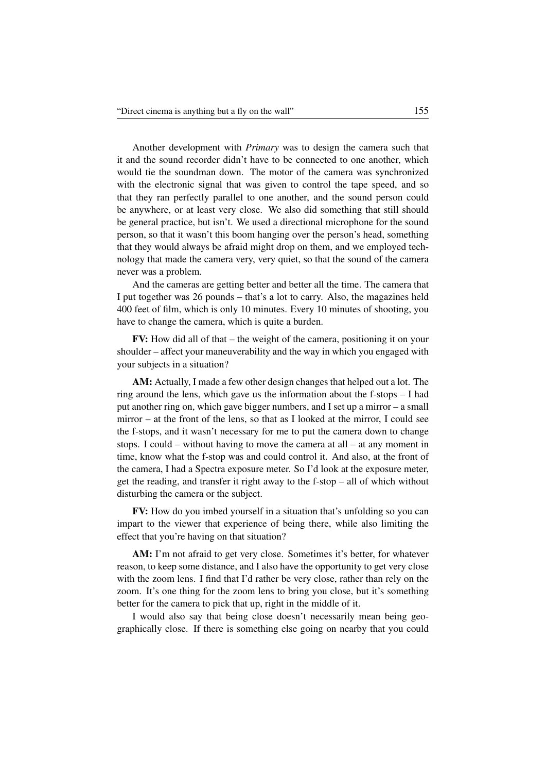Another development with *Primary* was to design the camera such that it and the sound recorder didn't have to be connected to one another, which would tie the soundman down. The motor of the camera was synchronized with the electronic signal that was given to control the tape speed, and so that they ran perfectly parallel to one another, and the sound person could be anywhere, or at least very close. We also did something that still should be general practice, but isn't. We used a directional microphone for the sound person, so that it wasn't this boom hanging over the person's head, something that they would always be afraid might drop on them, and we employed technology that made the camera very, very quiet, so that the sound of the camera never was a problem.

And the cameras are getting better and better all the time. The camera that I put together was 26 pounds – that's a lot to carry. Also, the magazines held 400 feet of film, which is only 10 minutes. Every 10 minutes of shooting, you have to change the camera, which is quite a burden.

FV: How did all of that – the weight of the camera, positioning it on your shoulder – affect your maneuverability and the way in which you engaged with your subjects in a situation?

AM: Actually, I made a few other design changes that helped out a lot. The ring around the lens, which gave us the information about the f-stops – I had put another ring on, which gave bigger numbers, and I set up a mirror – a small mirror – at the front of the lens, so that as I looked at the mirror, I could see the f-stops, and it wasn't necessary for me to put the camera down to change stops. I could – without having to move the camera at all – at any moment in time, know what the f-stop was and could control it. And also, at the front of the camera, I had a Spectra exposure meter. So I'd look at the exposure meter, get the reading, and transfer it right away to the f-stop – all of which without disturbing the camera or the subject.

FV: How do you imbed yourself in a situation that's unfolding so you can impart to the viewer that experience of being there, while also limiting the effect that you're having on that situation?

AM: I'm not afraid to get very close. Sometimes it's better, for whatever reason, to keep some distance, and I also have the opportunity to get very close with the zoom lens. I find that I'd rather be very close, rather than rely on the zoom. It's one thing for the zoom lens to bring you close, but it's something better for the camera to pick that up, right in the middle of it.

I would also say that being close doesn't necessarily mean being geographically close. If there is something else going on nearby that you could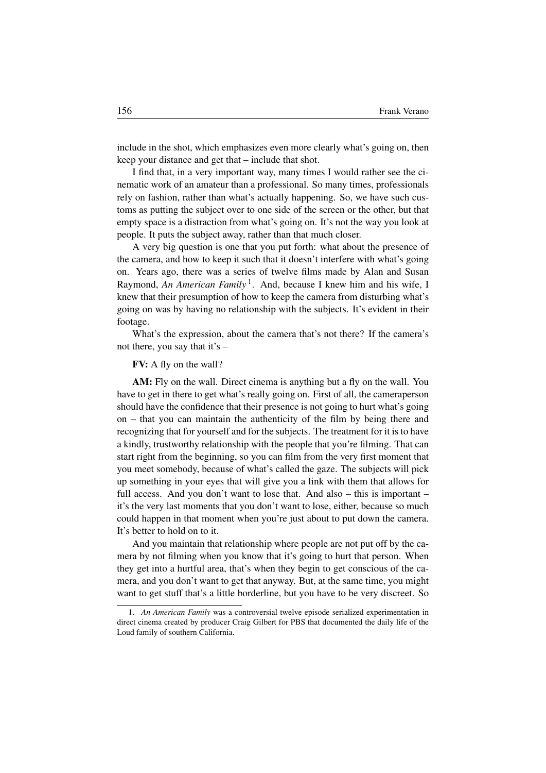include in the shot, which emphasizes even more clearly what's going on, then keep your distance and get that – include that shot.

I find that, in a very important way, many times I would rather see the cinematic work of an amateur than a professional. So many times, professionals rely on fashion, rather than what's actually happening. So, we have such customs as putting the subject over to one side of the screen or the other, but that empty space is a distraction from what's going on. It's not the way you look at people. It puts the subject away, rather than that much closer.

A very big question is one that you put forth: what about the presence of the camera, and how to keep it such that it doesn't interfere with what's going on. Years ago, there was a series of twelve films made by Alan and Susan Raymond, *An American Family*<sup>1</sup>. And, because I knew him and his wife, I knew that their presumption of how to keep the camera from disturbing what's going on was by having no relationship with the subjects. It's evident in their footage.

What's the expression, about the camera that's not there? If the camera's not there, you say that it's –

## FV: A fly on the wall?

AM: Fly on the wall. Direct cinema is anything but a fly on the wall. You have to get in there to get what's really going on. First of all, the cameraperson should have the confidence that their presence is not going to hurt what's going on – that you can maintain the authenticity of the film by being there and recognizing that for yourself and for the subjects. The treatment for it is to have a kindly, trustworthy relationship with the people that you're filming. That can start right from the beginning, so you can film from the very first moment that you meet somebody, because of what's called the gaze. The subjects will pick up something in your eyes that will give you a link with them that allows for full access. And you don't want to lose that. And also – this is important – it's the very last moments that you don't want to lose, either, because so much could happen in that moment when you're just about to put down the camera. It's better to hold on to it.

And you maintain that relationship where people are not put off by the camera by not filming when you know that it's going to hurt that person. When they get into a hurtful area, that's when they begin to get conscious of the camera, and you don't want to get that anyway. But, at the same time, you might want to get stuff that's a little borderline, but you have to be very discreet. So

<sup>1.</sup> *An American Family* was a controversial twelve episode serialized experimentation in direct cinema created by producer Craig Gilbert for PBS that documented the daily life of the Loud family of southern California.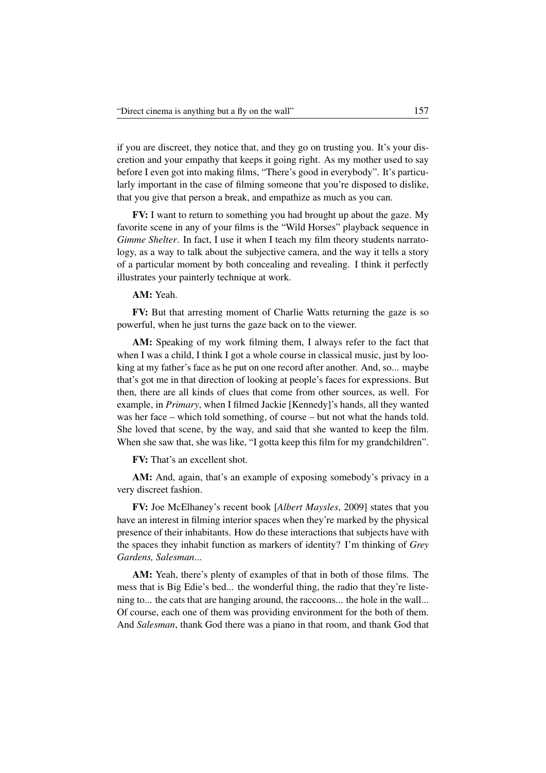if you are discreet, they notice that, and they go on trusting you. It's your discretion and your empathy that keeps it going right. As my mother used to say before I even got into making films, "There's good in everybody". It's particularly important in the case of filming someone that you're disposed to dislike, that you give that person a break, and empathize as much as you can.

FV: I want to return to something you had brought up about the gaze. My favorite scene in any of your films is the "Wild Horses" playback sequence in *Gimme Shelter*. In fact, I use it when I teach my film theory students narratology, as a way to talk about the subjective camera, and the way it tells a story of a particular moment by both concealing and revealing. I think it perfectly illustrates your painterly technique at work.

## AM: Yeah.

FV: But that arresting moment of Charlie Watts returning the gaze is so powerful, when he just turns the gaze back on to the viewer.

AM: Speaking of my work filming them, I always refer to the fact that when I was a child, I think I got a whole course in classical music, just by looking at my father's face as he put on one record after another. And, so... maybe that's got me in that direction of looking at people's faces for expressions. But then, there are all kinds of clues that come from other sources, as well. For example, in *Primary*, when I filmed Jackie [Kennedy]'s hands, all they wanted was her face – which told something, of course – but not what the hands told. She loved that scene, by the way, and said that she wanted to keep the film. When she saw that, she was like, "I gotta keep this film for my grandchildren".

FV: That's an excellent shot.

AM: And, again, that's an example of exposing somebody's privacy in a very discreet fashion.

FV: Joe McElhaney's recent book [*Albert Maysles*, 2009] states that you have an interest in filming interior spaces when they're marked by the physical presence of their inhabitants. How do these interactions that subjects have with the spaces they inhabit function as markers of identity? I'm thinking of *Grey Gardens, Salesman*...

AM: Yeah, there's plenty of examples of that in both of those films. The mess that is Big Edie's bed... the wonderful thing, the radio that they're listening to... the cats that are hanging around, the raccoons... the hole in the wall... Of course, each one of them was providing environment for the both of them. And *Salesman*, thank God there was a piano in that room, and thank God that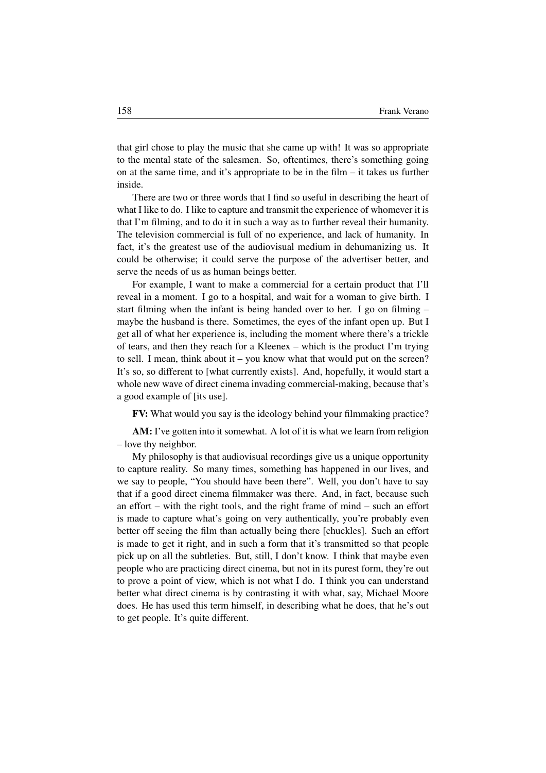that girl chose to play the music that she came up with! It was so appropriate to the mental state of the salesmen. So, oftentimes, there's something going on at the same time, and it's appropriate to be in the film – it takes us further inside.

There are two or three words that I find so useful in describing the heart of what I like to do. I like to capture and transmit the experience of whomever it is that I'm filming, and to do it in such a way as to further reveal their humanity. The television commercial is full of no experience, and lack of humanity. In fact, it's the greatest use of the audiovisual medium in dehumanizing us. It could be otherwise; it could serve the purpose of the advertiser better, and serve the needs of us as human beings better.

For example, I want to make a commercial for a certain product that I'll reveal in a moment. I go to a hospital, and wait for a woman to give birth. I start filming when the infant is being handed over to her. I go on filming – maybe the husband is there. Sometimes, the eyes of the infant open up. But I get all of what her experience is, including the moment where there's a trickle of tears, and then they reach for a Kleenex – which is the product I'm trying to sell. I mean, think about it – you know what that would put on the screen? It's so, so different to [what currently exists]. And, hopefully, it would start a whole new wave of direct cinema invading commercial-making, because that's a good example of [its use].

FV: What would you say is the ideology behind your filmmaking practice?

AM: I've gotten into it somewhat. A lot of it is what we learn from religion – love thy neighbor.

My philosophy is that audiovisual recordings give us a unique opportunity to capture reality. So many times, something has happened in our lives, and we say to people, "You should have been there". Well, you don't have to say that if a good direct cinema filmmaker was there. And, in fact, because such an effort – with the right tools, and the right frame of mind – such an effort is made to capture what's going on very authentically, you're probably even better off seeing the film than actually being there [chuckles]. Such an effort is made to get it right, and in such a form that it's transmitted so that people pick up on all the subtleties. But, still, I don't know. I think that maybe even people who are practicing direct cinema, but not in its purest form, they're out to prove a point of view, which is not what I do. I think you can understand better what direct cinema is by contrasting it with what, say, Michael Moore does. He has used this term himself, in describing what he does, that he's out to get people. It's quite different.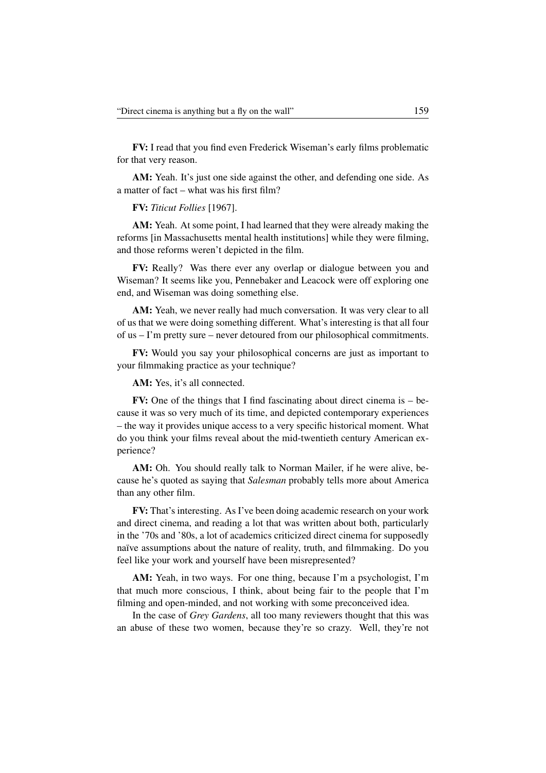FV: I read that you find even Frederick Wiseman's early films problematic for that very reason.

AM: Yeah. It's just one side against the other, and defending one side. As a matter of fact – what was his first film?

FV: *Titicut Follies* [1967].

AM: Yeah. At some point, I had learned that they were already making the reforms [in Massachusetts mental health institutions] while they were filming, and those reforms weren't depicted in the film.

FV: Really? Was there ever any overlap or dialogue between you and Wiseman? It seems like you, Pennebaker and Leacock were off exploring one end, and Wiseman was doing something else.

AM: Yeah, we never really had much conversation. It was very clear to all of us that we were doing something different. What's interesting is that all four of us – I'm pretty sure – never detoured from our philosophical commitments.

FV: Would you say your philosophical concerns are just as important to your filmmaking practice as your technique?

AM: Yes, it's all connected.

FV: One of the things that I find fascinating about direct cinema is – because it was so very much of its time, and depicted contemporary experiences – the way it provides unique access to a very specific historical moment. What do you think your films reveal about the mid-twentieth century American experience?

AM: Oh. You should really talk to Norman Mailer, if he were alive, because he's quoted as saying that *Salesman* probably tells more about America than any other film.

FV: That's interesting. As I've been doing academic research on your work and direct cinema, and reading a lot that was written about both, particularly in the '70s and '80s, a lot of academics criticized direct cinema for supposedly naïve assumptions about the nature of reality, truth, and filmmaking. Do you feel like your work and yourself have been misrepresented?

AM: Yeah, in two ways. For one thing, because I'm a psychologist, I'm that much more conscious, I think, about being fair to the people that I'm filming and open-minded, and not working with some preconceived idea.

In the case of *Grey Gardens*, all too many reviewers thought that this was an abuse of these two women, because they're so crazy. Well, they're not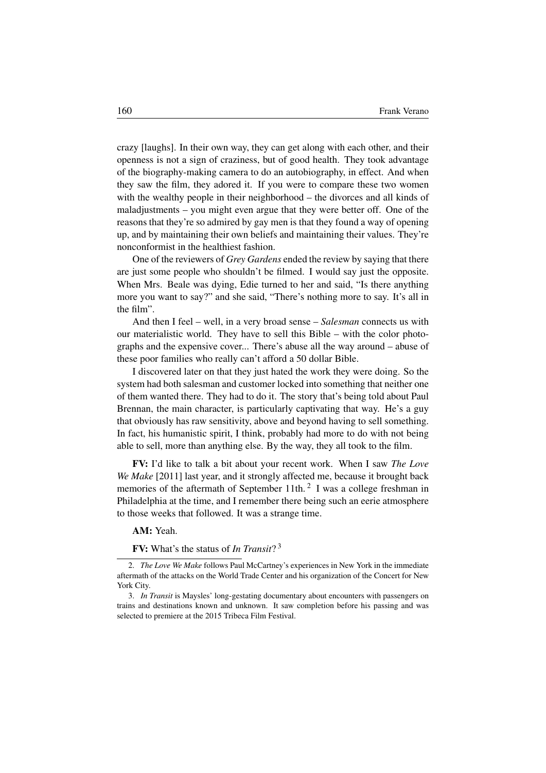crazy [laughs]. In their own way, they can get along with each other, and their openness is not a sign of craziness, but of good health. They took advantage of the biography-making camera to do an autobiography, in effect. And when they saw the film, they adored it. If you were to compare these two women with the wealthy people in their neighborhood – the divorces and all kinds of maladjustments – you might even argue that they were better off. One of the reasons that they're so admired by gay men is that they found a way of opening up, and by maintaining their own beliefs and maintaining their values. They're nonconformist in the healthiest fashion.

One of the reviewers of *Grey Gardens* ended the review by saying that there are just some people who shouldn't be filmed. I would say just the opposite. When Mrs. Beale was dying, Edie turned to her and said, "Is there anything more you want to say?" and she said, "There's nothing more to say. It's all in the film".

And then I feel – well, in a very broad sense – *Salesman* connects us with our materialistic world. They have to sell this Bible – with the color photographs and the expensive cover... There's abuse all the way around – abuse of these poor families who really can't afford a 50 dollar Bible.

I discovered later on that they just hated the work they were doing. So the system had both salesman and customer locked into something that neither one of them wanted there. They had to do it. The story that's being told about Paul Brennan, the main character, is particularly captivating that way. He's a guy that obviously has raw sensitivity, above and beyond having to sell something. In fact, his humanistic spirit, I think, probably had more to do with not being able to sell, more than anything else. By the way, they all took to the film.

FV: I'd like to talk a bit about your recent work. When I saw *The Love We Make* [2011] last year, and it strongly affected me, because it brought back memories of the aftermath of September 11th.<sup>2</sup> I was a college freshman in Philadelphia at the time, and I remember there being such an eerie atmosphere to those weeks that followed. It was a strange time.

AM: Yeah.

FV: What's the status of *In Transit*? 3

<sup>2.</sup> *The Love We Make* follows Paul McCartney's experiences in New York in the immediate aftermath of the attacks on the World Trade Center and his organization of the Concert for New York City.

<sup>3.</sup> *In Transit* is Maysles' long-gestating documentary about encounters with passengers on trains and destinations known and unknown. It saw completion before his passing and was selected to premiere at the 2015 Tribeca Film Festival.